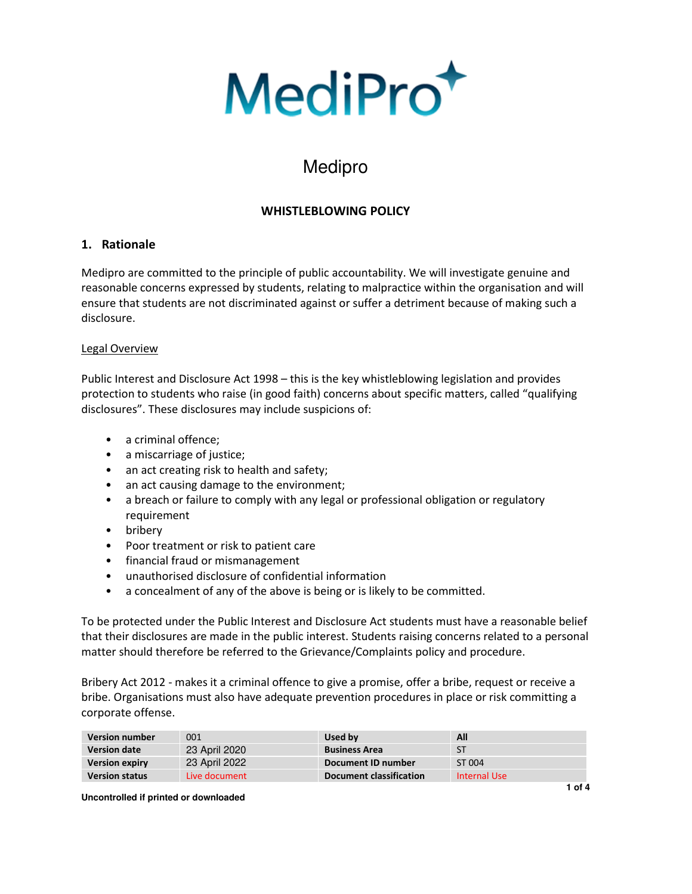

# Medipro

# **WHISTLEBLOWING POLICY**

## **1. Rationale**

Medipro are committed to the principle of public accountability. We will investigate genuine and reasonable concerns expressed by students, relating to malpractice within the organisation and will ensure that students are not discriminated against or suffer a detriment because of making such a disclosure.

## Legal Overview

Public Interest and Disclosure Act 1998 – this is the key whistleblowing legislation and provides protection to students who raise (in good faith) concerns about specific matters, called "qualifying disclosures". These disclosures may include suspicions of:

- a criminal offence;
- a miscarriage of justice;
- an act creating risk to health and safety;
- an act causing damage to the environment;
- a breach or failure to comply with any legal or professional obligation or regulatory requirement
- bribery
- Poor treatment or risk to patient care
- financial fraud or mismanagement
- unauthorised disclosure of confidential information
- a concealment of any of the above is being or is likely to be committed.

To be protected under the Public Interest and Disclosure Act students must have a reasonable belief that their disclosures are made in the public interest. Students raising concerns related to a personal matter should therefore be referred to the Grievance/Complaints policy and procedure.

Bribery Act 2012 - makes it a criminal offence to give a promise, offer a bribe, request or receive a bribe. Organisations must also have adequate prevention procedures in place or risk committing a corporate offense.

| <b>Version number</b> | 001           | Used by                 | All          |
|-----------------------|---------------|-------------------------|--------------|
| <b>Version date</b>   | 23 April 2020 | <b>Business Area</b>    | <b>ST</b>    |
| <b>Version expiry</b> | 23 April 2022 | Document ID number      | ST 004       |
| <b>Version status</b> | Live document | Document classification | Internal Use |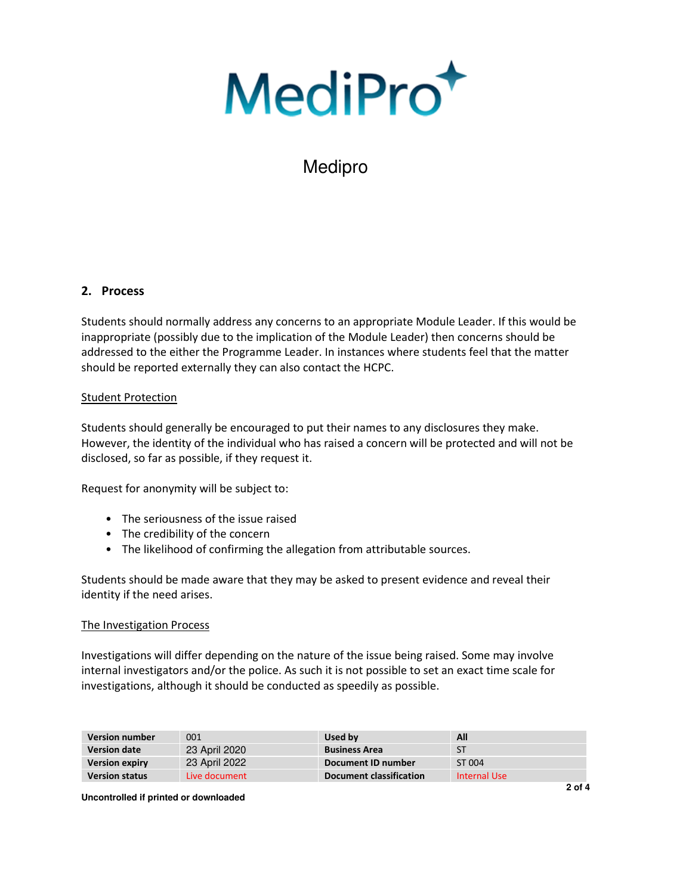MediPro<sup>+</sup>

# Medipro

## **2. Process**

Students should normally address any concerns to an appropriate Module Leader. If this would be inappropriate (possibly due to the implication of the Module Leader) then concerns should be addressed to the either the Programme Leader. In instances where students feel that the matter should be reported externally they can also contact the HCPC.

## Student Protection

Students should generally be encouraged to put their names to any disclosures they make. However, the identity of the individual who has raised a concern will be protected and will not be disclosed, so far as possible, if they request it.

Request for anonymity will be subject to:

- The seriousness of the issue raised
- The credibility of the concern
- The likelihood of confirming the allegation from attributable sources.

Students should be made aware that they may be asked to present evidence and reveal their identity if the need arises.

#### The Investigation Process

Investigations will differ depending on the nature of the issue being raised. Some may involve internal investigators and/or the police. As such it is not possible to set an exact time scale for investigations, although it should be conducted as speedily as possible.

| <b>Version number</b> | 001           | Used by                 | All          |
|-----------------------|---------------|-------------------------|--------------|
| <b>Version date</b>   | 23 April 2020 | <b>Business Area</b>    | ST           |
| <b>Version expiry</b> | 23 April 2022 | Document ID number      | ST 004       |
| <b>Version status</b> | Live document | Document classification | Internal Use |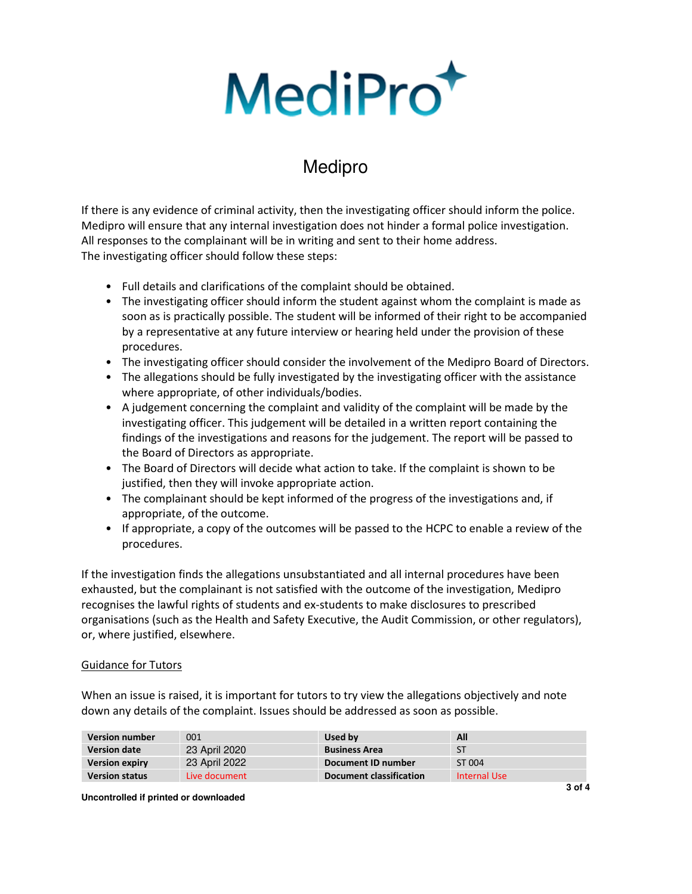# MediPro<sup>+</sup>

# Medipro

If there is any evidence of criminal activity, then the investigating officer should inform the police. Medipro will ensure that any internal investigation does not hinder a formal police investigation. All responses to the complainant will be in writing and sent to their home address. The investigating officer should follow these steps:

- Full details and clarifications of the complaint should be obtained.
- The investigating officer should inform the student against whom the complaint is made as soon as is practically possible. The student will be informed of their right to be accompanied by a representative at any future interview or hearing held under the provision of these procedures.
- The investigating officer should consider the involvement of the Medipro Board of Directors.
- The allegations should be fully investigated by the investigating officer with the assistance where appropriate, of other individuals/bodies.
- A judgement concerning the complaint and validity of the complaint will be made by the investigating officer. This judgement will be detailed in a written report containing the findings of the investigations and reasons for the judgement. The report will be passed to the Board of Directors as appropriate.
- The Board of Directors will decide what action to take. If the complaint is shown to be justified, then they will invoke appropriate action.
- The complainant should be kept informed of the progress of the investigations and, if appropriate, of the outcome.
- If appropriate, a copy of the outcomes will be passed to the HCPC to enable a review of the procedures.

If the investigation finds the allegations unsubstantiated and all internal procedures have been exhausted, but the complainant is not satisfied with the outcome of the investigation, Medipro recognises the lawful rights of students and ex-students to make disclosures to prescribed organisations (such as the Health and Safety Executive, the Audit Commission, or other regulators), or, where justified, elsewhere.

## Guidance for Tutors

When an issue is raised, it is important for tutors to try view the allegations objectively and note down any details of the complaint. Issues should be addressed as soon as possible.

| <b>Version number</b> | 001           | Used by                        | All          |
|-----------------------|---------------|--------------------------------|--------------|
| <b>Version date</b>   | 23 April 2020 | <b>Business Area</b>           | ST           |
| <b>Version expiry</b> | 23 April 2022 | Document ID number             | ST 004       |
| <b>Version status</b> | Live document | <b>Document classification</b> | Internal Use |